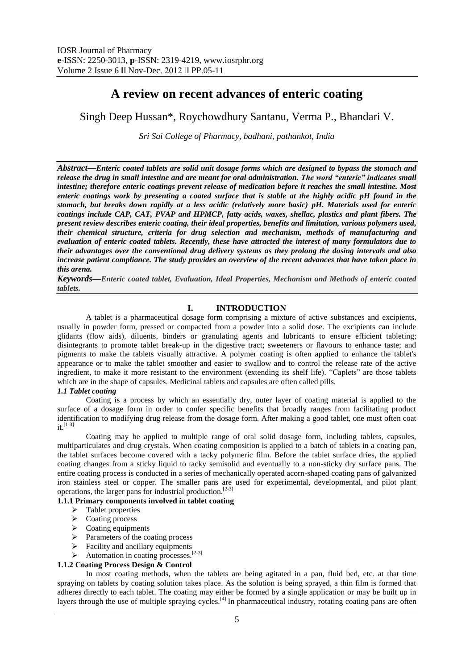# **A review on recent advances of enteric coating**

Singh Deep Hussan\*, Roychowdhury Santanu, Verma P., Bhandari V.

*Sri Sai College of Pharmacy, badhani, pathankot, India*

*Abstract––Enteric coated tablets are solid unit dosage forms which are designed to bypass the stomach and release the drug in small intestine and are meant for oral administration. The word "enteric" indicates small intestine; therefore enteric coatings prevent release of medication before it reaches the small intestine. Most enteric coatings work by presenting a coated surface that is stable at the highly acidic pH found in the stomach, but breaks down rapidly at a less acidic (relatively more basic) pH. Materials used for enteric coatings include CAP, CAT, PVAP and HPMCP, fatty acids, waxes, shellac, plastics and plant fibers. The present review describes enteric coating, their ideal properties, benefits and limitation, various polymers used, their chemical structure, criteria for drug selection and mechanism, methods of manufacturing and evaluation of enteric coated tablets. Recently, these have attracted the interest of many formulators due to their advantages over the conventional drug delivery systems as they prolong the dosing intervals and also increase patient compliance. The study provides an overview of the recent advances that have taken place in this arena.*

*Keywords––Enteric coated tablet, Evaluation, Ideal Properties, Mechanism and Methods of enteric coated tablets.*

## **I. INTRODUCTION**

A tablet is a [pharmaceutical](http://en.wikipedia.org/wiki/Pharmacy) dosage form comprising a mixture of active substances and [excipients,](http://en.wikipedia.org/wiki/Excipient) usually in [powder](http://en.wikipedia.org/wiki/Powder_%28substance%29) form, pressed or compacted from a powder into a solid dose. The excipients can include glidants (flow aids), diluents, binders or granulating agents and lubricants to ensure efficient tableting; disintegrants to promote tablet break-up in the digestive tract; sweeteners or flavours to enhance taste; and pigments to make the tablets visually attractive. A polymer coating is often applied to enhance the tablet's appearance or to make the tablet smoother and easier to swallow and to control the release rate of the active ingredient, to make it more resistant to the environment (extending its shelf life). "Caplets" are those tablets which are in the shape o[f capsules.](http://en.wikipedia.org/wiki/Capsule_%28pharmacy%29) Medicinal tablets and capsules are often called pills.

### *1.1 Tablet coating*

Coating is a process by which an essentially dry, outer layer of coating material is applied to the surface of a dosage form in order to confer specific benefits that broadly ranges from facilitating product identification to modifying drug release from the dosage form. After making a good tablet, one must often coat  $it.$ <sup>[1-3]</sup>

Coating may be applied to multiple range of oral solid dosage form, including tablets, capsules, multiparticulates and drug crystals. When coating composition is applied to a batch of tablets in a coating pan, the tablet surfaces become covered with a tacky polymeric film. Before the tablet surface dries, the applied coating changes from a sticky liquid to tacky semisolid and eventually to a non-sticky dry surface pans. The entire coating process is conducted in a series of mechanically operated acorn-shaped coating pans of galvanized iron stainless steel or copper. The smaller pans are used for experimental, developmental, and pilot plant operations, the larger pans for industrial production.[2-3]

### **1.1.1 Primary components involved in tablet coating**

- $\triangleright$  Tablet properties
- $\triangleright$  Coating process
- $\triangleright$  Coating equipments
- $\triangleright$  Parameters of the coating process
- $\triangleright$  Facility and ancillary equipments
- Automation in coating processes.<sup>[2-3]</sup>

#### **1.1.2 Coating Process Design & Control**

In most coating methods, when the tablets are being agitated in a pan, fluid bed, etc. at that time spraying on tablets by coating solution takes place. As the solution is being sprayed, a thin film is formed that adheres directly to each tablet. The coating may either be formed by a single application or may be built up in layers through the use of multiple spraying cycles.<sup>[4]</sup> In pharmaceutical industry, rotating coating pans are often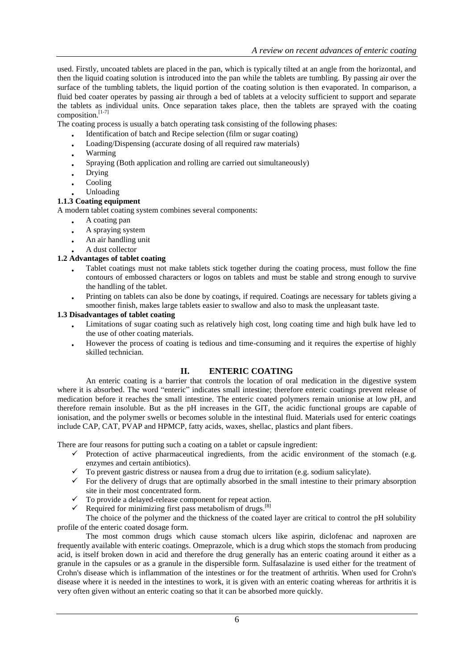used. Firstly, uncoated tablets are placed in the pan, which is typically tilted at an angle from the horizontal, and then the liquid coating solution is introduced into the pan while the tablets are tumbling. By passing air over the surface of the tumbling tablets, the liquid portion of the coating solution is then evaporated. In comparison, a fluid bed coater operates by passing air through a bed of tablets at a velocity sufficient to support and separate the tablets as individual units. Once separation takes place, then the tablets are sprayed with the coating composition.[1-7]

The coating process is usually a batch operating task consisting of the following phases:

- Identification of batch and Recipe selection (film or sugar coating)
- Loading/Dispensing (accurate dosing of all required raw materials)
- Warming
- Spraying (Both application and rolling are carried out simultaneously)
- Drying
- Cooling
- Unloading

#### **1.1.3 Coating equipment**

A modern tablet coating system combines several components:

- A coating pan
- A spraying system
- An air handling unit
- A dust collector

#### **1.2 Advantages of tablet coating**

- Tablet coatings must not make tablets stick together during the coating process, must follow the fine contours of embossed characters or logos on tablets and must be stable and strong enough to survive the handling of the tablet.
- Printing on tablets can also be done by coatings, if required. Coatings are necessary for tablets giving a smoother finish, makes large tablets easier to swallow and also to mask the unpleasant taste.

#### **1.3 Disadvantages of tablet coating**

- Limitations of sugar coating such as relatively high cost, long coating time and high bulk have led to the use of other coating materials.
- However the process of coating is tedious and time-consuming and it requires the expertise of highly skilled technician.

### **II. ENTERIC COATING**

An enteric coating is a barrier that controls the location of oral medication in the [digestive system](http://en.wikipedia.org/wiki/Digestive_system) where it is absorbed. The word "enteric" indicates small intestine; therefore enteric coatings prevent release of medication before it reaches the [small intestine.](http://en.wikipedia.org/wiki/Small_intestine) The enteric coated polymers remain unionise at low pH, and therefore remain insoluble. But as the pH increases in the GIT, the acidic functional groups are capable of ionisation, and the polymer swells or becomes soluble in the intestinal fluid. Materials used for enteric coatings include CAP, CAT, PVAP and HPMCP, fatty acids, waxes, shellac, plastics and plant fibers.

There are four reasons for putting such a coating on a tablet or capsule ingredient:

- $\checkmark$  Protection of active pharmaceutical ingredients, from the acidic environment of the stomach (e.g. enzymes and certain antibiotics).
- $\checkmark$  To prevent gastric distress or nausea from a drug due to irritation (e.g. sodium salicylate).
- $\checkmark$  For the delivery of drugs that are optimally absorbed in the small intestine to their primary absorption site in their most concentrated form.
- $\checkmark$  To provide a delayed-release component for repeat action.
- Required for minimizing first pass metabolism of drugs.<sup>[8]</sup>

The choice of the polymer and the thickness of the coated layer are critical to control the pH solubility profile of the enteric coated dosage form.

The most common drugs which cause stomach ulcers like aspirin, diclofenac and naproxen are frequently available with enteric coatings. Omeprazole, which is a drug which stops the stomach from producing acid, is itself broken down in acid and therefore the drug generally has an enteric coating around it either as a granule in the capsules or as a granule in the dispersible form. Sulfasalazine is used either for the treatment of Crohn's disease which is inflammation of the intestines or for the treatment of arthritis. When used for Crohn's disease where it is needed in the intestines to work, it is given with an enteric coating whereas for arthritis it is very often given without an enteric coating so that it can be absorbed more quickly.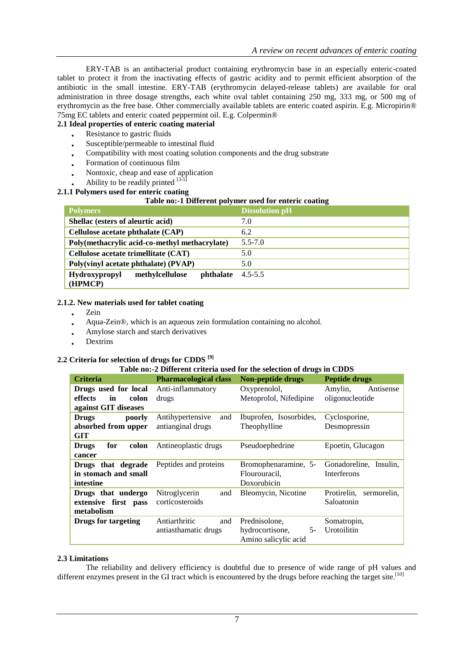ERY-TAB is an antibacterial product containing erythromycin base in an especially enteric-coated tablet to protect it from the inactivating effects of gastric acidity and to permit efficient absorption of the antibiotic in the small intestine. ERY-TAB (erythromycin delayed-release tablets) are available for oral administration in three dosage strengths, each white oval tablet containing 250 mg, 333 mg, or 500 mg of erythromycin as the free base. Other commercially available tablets are enteric coated aspirin. E.g. Micropirin® 75mg EC tablets and enteric coated peppermint oil. E.g. Colpermin®

### **2.1 Ideal properties of enteric coating material**

- Resistance to gastric fluids
	- Susceptible/permeable to intestinal fluid
	- Compatibility with most coating solution components and the drug substrate
	- Formation of continuous film
	- Nontoxic, cheap and ease of application
	- Ability to be readily printed  $[3-5]$

#### **2.1.1 Polymers used for enteric coating**

#### **Table no:-1 Different polymer used for enteric coating**

| <b>Polymers</b>                                      | <b>Dissolution pH</b> |
|------------------------------------------------------|-----------------------|
| Shellac (esters of aleurtic acid)                    | 7.0                   |
| Cellulose acetate phthalate (CAP)                    | 6.2                   |
| Poly(methacrylic acid-co-methyl methacrylate)        | $5.5 - 7.0$           |
| Cellulose acetate trimellitate (CAT)                 | 5.0                   |
| Poly(vinyl acetate phthalate) (PVAP)                 | 5.0                   |
| methylcellulose<br>phthalate<br><b>Hydroxypropyl</b> | $4.5 - 5.5$           |
| (HPMCP)                                              |                       |

#### **2.1.2. New materials used for tablet coating**

- Zein
- Aqua-Zein®, which is an aqueous zein formulation containing no alcohol.
- Amylose starch and starch derivatives
- Dextrins

### **2.2 Criteria for selection of drugs for CDDS [9]**

#### **Table no:-2 Different criteria used for the selection of drugs in CDDS**

| <b>Criteria</b>              | <b>Pharmacological class</b> | <b>Non-peptide drugs</b> | <b>Peptide drugs</b>       |
|------------------------------|------------------------------|--------------------------|----------------------------|
| Drugs used for local         | Anti-inflammatory            | Oxyprenolol,             | Amylin,<br>Antisense       |
| effects<br>colon<br>in       | drugs                        | Metoprolol, Nifedipine   | oligonucleotide            |
| against GIT diseases         |                              |                          |                            |
| <b>Drugs</b><br>poorly       | Antihypertensive<br>and      | Ibuprofen, Isosorbides,  | Cyclosporine,              |
| absorbed from upper          | antianginal drugs            | Theophylline             | Desmopressin               |
| GIT                          |                              |                          |                            |
| colon<br><b>Drugs</b><br>for | Antineoplastic drugs         | Pseudoephedrine          | Epoetin, Glucagon          |
| cancer                       |                              |                          |                            |
| Drugs that degrade           | Peptides and proteins        | Bromophenaramine, 5-     | Gonadoreline,<br>Insulin,  |
| in stomach and small         |                              | Flourouracil,            | Interferons                |
| intestine                    |                              | Doxorubicin              |                            |
| Drugs that undergo           | Nitroglycerin<br>and         | Bleomycin, Nicotine      | Protirelin,<br>sermorelin, |
| extensive first pass         | corticosteroids              |                          | Saloatonin                 |
| metabolism                   |                              |                          |                            |
| Drugs for targeting          | Antiarthritic<br>and         | Prednisolone,            | Somatropin,                |
|                              | antiasthamatic drugs         | hydrocortisone,<br>5-    | Urotoilitin                |
|                              |                              | Amino salicylic acid     |                            |

#### **2.3 Limitations**

The reliability and delivery efficiency is doubtful due to presence of wide range of pH values and different enzymes present in the GI tract which is encountered by the drugs before reaching the target site.<sup>[10]</sup>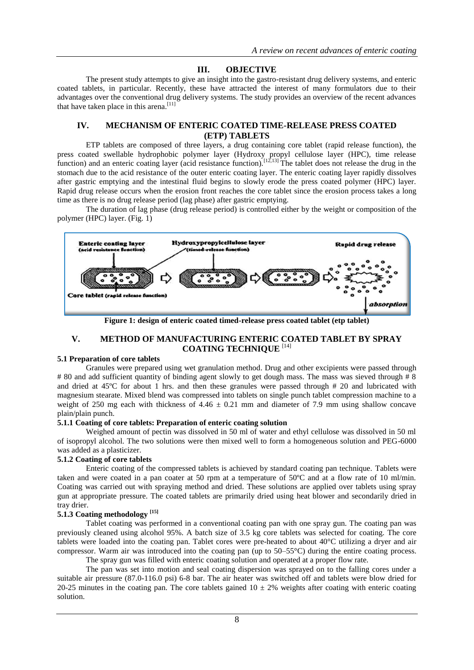### **III. OBJECTIVE**

The present study attempts to give an insight into the gastro-resistant drug delivery systems, and enteric coated tablets, in particular. Recently, these have attracted the interest of many formulators due to their advantages over the conventional drug delivery systems. The study provides an overview of the recent advances that have taken place in this arena.<sup>[11]</sup>

#### **IV. MECHANISM OF ENTERIC COATED TIME-RELEASE PRESS COATED (ETP) TABLETS**

ETP tablets are composed of three layers, a drug containing core tablet (rapid release function), the press coated swellable hydrophobic polymer layer (Hydroxy propyl cellulose layer (HPC), time release function) and an enteric coating layer (acid resistance function).<sup>[12,13]</sup> The tablet does not release the drug in the stomach due to the acid resistance of the outer enteric coating layer. The enteric coating layer rapidly dissolves after gastric emptying and the intestinal fluid begins to slowly erode the press coated polymer (HPC) layer. Rapid drug release occurs when the erosion front reaches the core tablet since the erosion process takes a long time as there is no drug release period (lag phase) after gastric emptying.

The duration of lag phase (drug release period) is controlled either by the weight or composition of the polymer (HPC) layer. (Fig. 1)



**Figure 1: design of enteric coated timed-release press coated tablet (etp tablet)**

### **V. METHOD OF MANUFACTURING ENTERIC COATED TABLET BY SPRAY COATING TECHNIQUE** [14]

#### **5.1 Preparation of core tablets**

Granules were prepared using wet granulation method. Drug and other excipients were passed through # 80 and add sufficient quantity of binding agent slowly to get dough mass. The mass was sieved through # 8 and dried at  $45^{\circ}$ C for about 1 hrs. and then these granules were passed through # 20 and lubricated with magnesium stearate. Mixed blend was compressed into tablets on single punch tablet compression machine to a weight of 250 mg each with thickness of  $4.46 \pm 0.21$  mm and diameter of 7.9 mm using shallow concave plain/plain punch.

#### **5.1.1 Coating of core tablets: Preparation of enteric coating solution**

Weighed amount of pectin was dissolved in 50 ml of water and ethyl cellulose was dissolved in 50 ml of isopropyl alcohol. The two solutions were then mixed well to form a homogeneous solution and PEG-6000 was added as a plasticizer.

#### **5.1.2 Coating of core tablets**

Enteric coating of the compressed tablets is achieved by standard coating pan technique. Tablets were taken and were coated in a pan coater at 50 rpm at a temperature of 50ºC and at a flow rate of 10 ml/min. Coating was carried out with spraying method and dried. These solutions are applied over tablets using spray gun at appropriate pressure. The coated tablets are primarily dried using heat blower and secondarily dried in tray drier.

### **5.1.3 Coating methodology [15]**

Tablet coating was performed in a conventional coating pan with one spray gun. The coating pan was previously cleaned using alcohol 95%. A batch size of 3.5 kg core tablets was selected for coating. The core tablets were loaded into the coating pan. Tablet cores were pre-heated to about 40°C utilizing a dryer and air compressor. Warm air was introduced into the coating pan (up to 50–55°C) during the entire coating process.

The spray gun was filled with enteric coating solution and operated at a proper flow rate.

The pan was set into motion and seal coating dispersion was sprayed on to the falling cores under a suitable air pressure (87.0-116.0 psi) 6-8 bar. The air heater was switched off and tablets were blow dried for 20-25 minutes in the coating pan. The core tablets gained  $10 \pm 2\%$  weights after coating with enteric coating solution.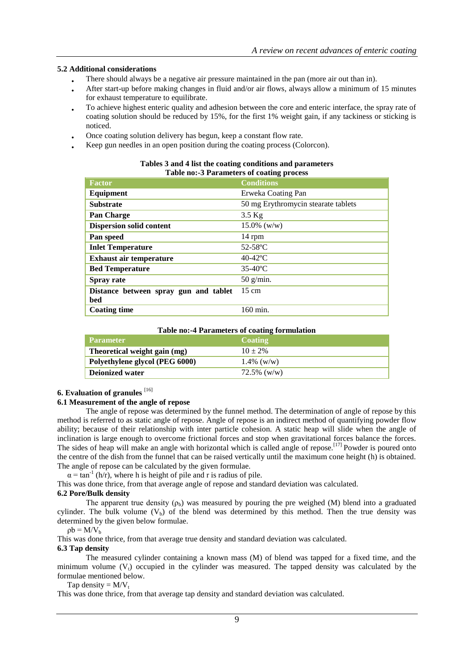#### **5.2 Additional considerations**

- There should always be a negative air pressure maintained in the pan (more air out than in).
- After start-up before making changes in fluid and/or air flows, always allow a minimum of 15 minutes for exhaust temperature to equilibrate.
- To achieve highest enteric quality and adhesion between the core and enteric interface, the spray rate of coating solution should be reduced by 15%, for the first 1% weight gain, if any tackiness or sticking is noticed.
- Once coating solution delivery has begun, keep a constant flow rate.
- Keep gun needles in an open position during the coating process (Colorcon).

| <b>Table no:-3 Parameters of coating process</b> |                                     |  |
|--------------------------------------------------|-------------------------------------|--|
| <b>Factor</b>                                    | <b>Conditions</b>                   |  |
| Equipment                                        | Erweka Coating Pan                  |  |
| <b>Substrate</b>                                 | 50 mg Erythromycin stearate tablets |  |
| <b>Pan Charge</b>                                | $3.5$ Kg                            |  |
| <b>Dispersion solid content</b>                  | $15.0\%$ (w/w)                      |  |
| Pan speed                                        | 14 rpm                              |  |
| <b>Inlet Temperature</b>                         | $52-58$ °C                          |  |
| <b>Exhaust air temperature</b>                   | $40-42$ °C                          |  |
| <b>Bed Temperature</b>                           | $35-40$ <sup>o</sup> C              |  |
| Spray rate                                       | $50$ g/min.                         |  |
| Distance between spray gun and tablet            | $15 \text{ cm}$                     |  |
| bed                                              |                                     |  |
| <b>Coating time</b>                              | 160 min.                            |  |

**Tables 3 and 4 list the coating conditions and parameters**

#### **Table no:-4 Parameters of coating formulation**

| <b>Parameter</b>               | <b>Coating</b> |
|--------------------------------|----------------|
| Theoretical weight gain (mg)   | $10 + 2\%$     |
| Polyethylene glycol (PEG 6000) | $1.4\%$ (w/w)  |
| Deionized water                | $72.5\%$ (w/w) |

#### **6. Evaluation of granules** [16]

#### **6.1 Measurement of the angle of repose**

The angle of repose was determined by the funnel method. The determination of angle of repose by this method is referred to as static angle of repose. Angle of repose is an indirect method of quantifying powder flow ability; because of their relationship with inter particle cohesion. A static heap will slide when the angle of inclination is large enough to overcome frictional forces and stop when gravitational forces balance the forces. The sides of heap will make an angle with horizontal which is called angle of repose.<sup>[17]</sup> Powder is poured onto the centre of the dish from the funnel that can be raised vertically until the maximum cone height (h) is obtained. The angle of repose can be calculated by the given formulae.

 $\alpha = \tan^{-1}(\frac{h}{r})$ , where h is height of pile and r is radius of pile.

This was done thrice, from that average angle of repose and standard deviation was calculated.

#### **6.2 Pore/Bulk density**

The apparent true density  $(\rho_b)$  was measured by pouring the pre weighed (M) blend into a graduated cylinder. The bulk volume  $(V<sub>b</sub>)$  of the blend was determined by this method. Then the true density was determined by the given below formulae.

## $pb = M/V_b$

This was done thrice, from that average true density and standard deviation was calculated.

#### **6.3 Tap density**

The measured cylinder containing a known mass (M) of blend was tapped for a fixed time, and the minimum volume  $(V<sub>t</sub>)$  occupied in the cylinder was measured. The tapped density was calculated by the formulae mentioned below.

Tap density =  $M/V_t$ 

This was done thrice, from that average tap density and standard deviation was calculated.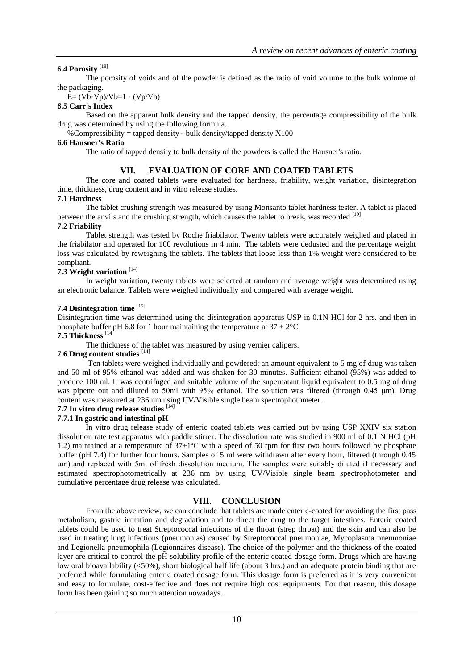## **6.4 Porosity** [18]

The porosity of voids and of the powder is defined as the ratio of void volume to the bulk volume of the packaging.

 $E = (Vb-Vp)/Vb=1 - (Vp/Vb)$ 

### **6.5 Carr's Index**

Based on the apparent bulk density and the tapped density, the percentage compressibility of the bulk drug was determined by using the following formula.

%Compressibility = tapped density - bulk density/tapped density  $X100$ 

#### **6.6 Hausner's Ratio**

The ratio of tapped density to bulk density of the powders is called the Hausner's ratio.

#### **VII. EVALUATION OF CORE AND COATED TABLETS**

The core and coated tablets were evaluated for hardness, friability, weight variation, disintegration time, thickness, drug content and in vitro release studies.

#### **7.1 Hardness**

The tablet crushing strength was measured by using Monsanto tablet hardness tester. A tablet is placed between the anvils and the crushing strength, which causes the tablet to break, was recorded [19].

#### **7.2 Friability**

Tablet strength was tested by Roche friabilator. Twenty tablets were accurately weighed and placed in the friabilator and operated for 100 revolutions in 4 min. The tablets were dedusted and the percentage weight loss was calculated by reweighing the tablets. The tablets that loose less than 1% weight were considered to be compliant.

### **7.3 Weight variation** [14]

In weight variation, twenty tablets were selected at random and average weight was determined using an electronic balance. Tablets were weighed individually and compared with average weight.

### **7.4 Disintegration time** [19]

Disintegration time was determined using the disintegration apparatus USP in 0.1N HCl for 2 hrs. and then in phosphate buffer pH 6.8 for 1 hour maintaining the temperature at  $37 \pm 2^{\circ}$ C. **7.5 Thickness** [14]

The thickness of the tablet was measured by using vernier calipers.

## **7.6 Drug content studies** [14]

Ten tablets were weighed individually and powdered; an amount equivalent to 5 mg of drug was taken and 50 ml of 95% ethanol was added and was shaken for 30 minutes. Sufficient ethanol (95%) was added to produce 100 ml. It was centrifuged and suitable volume of the supernatant liquid equivalent to 0.5 mg of drug was pipette out and diluted to 50ml with 95% ethanol. The solution was filtered (through 0.45 μm). Drug content was measured at 236 nm using UV/Visible single beam spectrophotometer.

# **7.7 In vitro drug release studies** [14]

### **7.7.1 In gastric and intestinal pH**

In vitro drug release study of enteric coated tablets was carried out by using USP XXIV six station dissolution rate test apparatus with paddle stirrer. The dissolution rate was studied in 900 ml of 0.1 N HCl (pH 1.2) maintained at a temperature of  $37\pm1\degree C$  with a speed of 50 rpm for first two hours followed by phosphate buffer (pH 7.4) for further four hours. Samples of 5 ml were withdrawn after every hour, filtered (through 0.45 μm) and replaced with 5ml of fresh dissolution medium. The samples were suitably diluted if necessary and estimated spectrophotometrically at 236 nm by using UV/Visible single beam spectrophotometer and cumulative percentage drug release was calculated.

#### **VIII. CONCLUSION**

From the above review, we can conclude that tablets are made enteric-coated for avoiding the first pass metabolism, gastric irritation and degradation and to direct the drug to the target intestines. Enteric coated tablets could be used to treat Streptococcal infections of the throat (strep throat) and the skin and can also be used in treating lung infections (pneumonias) caused by Streptococcal pneumoniae, Mycoplasma pneumoniae and Legionella pneumophila (Legionnaires disease). The choice of the polymer and the thickness of the coated layer are critical to control the pH solubility profile of the enteric coated dosage form. Drugs which are having low oral bioavailability (<50%), short biological half life (about 3 hrs.) and an adequate protein binding that are preferred while formulating enteric coated dosage form. This dosage form is preferred as it is very convenient and easy to formulate, cost-effective and does not require high cost equipments. For that reason, this dosage form has been gaining so much attention nowadays.